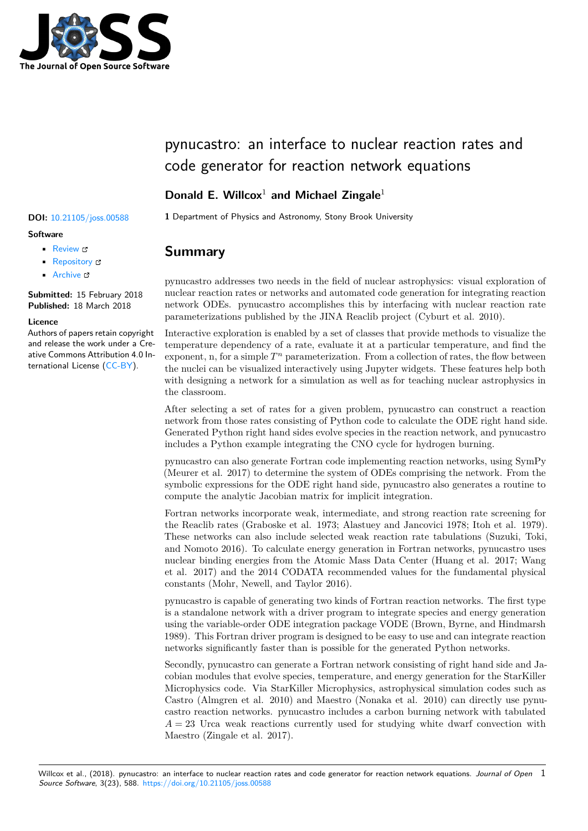

# pynucastro: an interface to nuclear reaction rates and code generator for reaction network equations

## **Donald E. Willcox**<sup>1</sup> **and Michael Zingale**<sup>1</sup>

### **Software**

- Review C
- [Repository](https://doi.org/10.21105/joss.00588) &
- Archive L'

**Subm[itted:](https://github.com/openjournals/joss-reviews/issues/588)** 15 February 2018 **Published:** [18 M](https://github.com/pynucastro/pynucastro)arch 2018

#### **Licen[ce](http://dx.doi.org/10.5281/zenodo.1202434)**

Authors of papers retain copyright and release the work under a Creative Commons Attribution 4.0 International License (CC-BY).

## **DOI:** 10.21105/joss.00588 1 Department of Physics and Astronomy, Stony Brook University

## **Summary**

pynucastro addresses two needs in the field of nuclear astrophysics: visual exploration of nuclear reaction rates or networks and automated code generation for integrating reaction network ODEs. pynucastro accomplishes this by interfacing with nuclear reaction rate parameterizations published by the JINA Reaclib project (Cyburt et al. 2010).

Interactive exploration is enabled by a set of classes that provide methods to visualize the temperature dependency of a rate, evaluate it at a particular temperature, and find the exponent, n, for a simple  $T<sup>n</sup>$  parameterization. From a collection of rates, the flow between the nuclei can be visualized interactively using Jupyter widgets. These features help both with designing a network for a simulation as well as for teaching nuclear astrophysics in the classroom.

After selecting a set of rates for a given problem, pynucastro can construct a reaction network from those rates consisting of Python code to calculate the ODE right hand side. Generated Python right hand sides evolve species in the reaction network, and pynucastro includes a Python example integrating the CNO cycle for hydrogen burning.

pynucastro can also generate Fortran code implementing reaction networks, using SymPy (Meurer et al. 2017) to determine the system of ODEs comprising the network. From the symbolic expressions for the ODE right hand side, pynucastro also generates a routine to compute the analytic Jacobian matrix for implicit integration.

Fortran networks incorporate weak, intermediate, and strong reaction rate screening for the Reaclib rates (Graboske et al. 1973; Alastuey and Jancovici 1978; Itoh et al. 1979). These networks can also include selected weak reaction rate tabulations (Suzuki, Toki, and Nomoto 2016). To calculate energy generation in Fortran networks, pynucastro uses nuclear binding energies from the Atomic Mass Data Center (Huang et al. 2017; Wang et al. 2017) and the 2014 CODATA recommended values for the fundamental physical constants (Mohr, Newell, and Taylor 2016).

pynucastro is capable of generating two kinds of Fortran reaction networks. The first type is a standalone network with a driver program to integrate species and energy generation using the variable-order ODE integration package VODE (Brown, Byrne, and Hindmarsh 1989). This Fortran driver program is designed to be easy to use and can integrate reaction networks significantly faster than is possible for the generated Python networks.

Secondly, pynucastro can generate a Fortran network consisting of right hand side and Jacobian modules that evolve species, temperature, and energy generation for the StarKiller Microphysics code. Via StarKiller Microphysics, astrophysical simulation codes such as Castro (Almgren et al. 2010) and Maestro (Nonaka et al. 2010) can directly use pynucastro reaction networks. pynucastro includes a carbon burning network with tabulated  $A = 23$  Urca weak reactions currently used for studying white dwarf convection with Maestro (Zingale et al. 2017).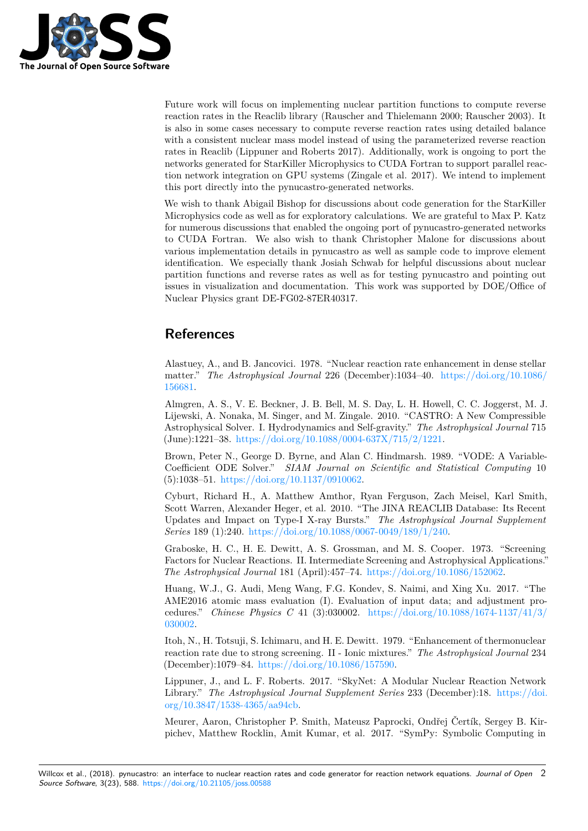

Future work will focus on implementing nuclear partition functions to compute reverse reaction rates in the Reaclib library (Rauscher and Thielemann 2000; Rauscher 2003). It is also in some cases necessary to compute reverse reaction rates using detailed balance with a consistent nuclear mass model instead of using the parameterized reverse reaction rates in Reaclib (Lippuner and Roberts 2017). Additionally, work is ongoing to port the networks generated for StarKiller Microphysics to CUDA Fortran to support parallel reaction network integration on GPU systems (Zingale et al. 2017). We intend to implement this port directly into the pynucastro-generated networks.

We wish to thank Abigail Bishop for discussions about code generation for the StarKiller Microphysics code as well as for exploratory calculations. We are grateful to Max P. Katz for numerous discussions that enabled the ongoing port of pynucastro-generated networks to CUDA Fortran. We also wish to thank Christopher Malone for discussions about various implementation details in pynucastro as well as sample code to improve element identification. We especially thank Josiah Schwab for helpful discussions about nuclear partition functions and reverse rates as well as for testing pynucastro and pointing out issues in visualization and documentation. This work was supported by DOE/Office of Nuclear Physics grant DE-FG02-87ER40317.

## **References**

Alastuey, A., and B. Jancovici. 1978. "Nuclear reaction rate enhancement in dense stellar matter." *The Astrophysical Journal* 226 (December):1034–40. https://doi.org/10.1086/ 156681.

Almgren, A. S., V. E. Beckner, J. B. Bell, M. S. Day, L. H. Howell, C. C. Joggerst, M. J. Lijewski, A. Nonaka, M. Singer, and M. Zingale. 2010. "CASTRO: A New Compressible Astrophysical Solver. I. Hydrodynamics and Self-gravity." *The [Astrophysical Journal](https://doi.org/10.1086/156681)* 715 [\(June\):](https://doi.org/10.1086/156681)1221–38. https://doi.org/10.1088/0004-637X/715/2/1221.

Brown, Peter N., George D. Byrne, and Alan C. Hindmarsh. 1989. "VODE: A Variable-Coefficient ODE Solver." *SIAM Journal on Scientific and Statistical Computing* 10 (5):1038–51. https://doi.org/10.1137/0910062.

Cyburt, Richar[d H., A. Matthew Amthor, Ryan Ferguson, Za](https://doi.org/10.1088/0004-637X/715/2/1221)ch Meisel, Karl Smith, Scott Warren, Alexander Heger, et al. 2010. "The JINA REACLIB Database: Its Recent Updates and Impact on Type-I X-ray Bursts." *The Astrophysical Journal Supplement Series* 189 (1):240. [https://doi.org/10.1088/00](https://doi.org/10.1137/0910062)67-0049/189/1/240.

Graboske, H. C., H. E. Dewitt, A. S. Grossman, and M. S. Cooper. 1973. "Screening Factors for Nuclear Reactions. II. Intermediate Screening and Astrophysical Applications." *The Astrophysical Journal* 181 (April):457–74. https://doi.org/10.1086/152062.

Huang, W.J., G. A[udi, Meng Wang, F.G. Kondev, S. Naimi, and](https://doi.org/10.1088/0067-0049/189/1/240) Xing Xu. 2017. "The AME2016 atomic mass evaluation (I). Evaluation of input data; and adjustment procedures." *Chinese Physics C* 41 (3):030002. [https://doi.org/10.1088/1674-1](https://doi.org/10.1086/152062)137/41/3/ 030002.

Itoh, N., H. Totsuji, S. Ichimaru, and H. E. Dewitt. 1979. "Enhancement of thermonuclear reaction rate due to strong screening. II - Ionic mixtures." *[The Astrophysical Journal](https://doi.org/10.1088/1674-1137/41/3/030002)* 234 [\(Decem](https://doi.org/10.1088/1674-1137/41/3/030002)ber):1079–84. https://doi.org/10.1086/157590.

Lippuner, J., and L. F. Roberts. 2017. "SkyNet: A Modular Nuclear Reaction Network Library." *The Astrophysical Journal Supplement Series* 233 (December):18. https://doi. org/10.3847/1538-4365/aa94cb.

Meurer, Aaron, Chri[stopher P. Smith, Mateusz Papr](https://doi.org/10.1086/157590)ocki, Ondřej Čertík, Sergey B. Kirpichev, Matthew Rocklin, Amit Kumar, et al. 2017. "SymPy: Symbolic C[omputing in](https://doi.org/10.3847/1538-4365/aa94cb)